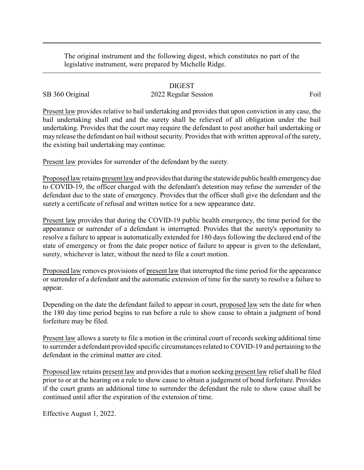The original instrument and the following digest, which constitutes no part of the legislative instrument, were prepared by Michelle Ridge.

## DIGEST

## SB 360 Original 2022 Regular Session Foil

Present law provides relative to bail undertaking and provides that upon conviction in any case, the bail undertaking shall end and the surety shall be relieved of all obligation under the bail undertaking. Provides that the court may require the defendant to post another bail undertaking or may release the defendant on bail without security. Provides that with written approval of the surety, the existing bail undertaking may continue.

Present law provides for surrender of the defendant by the surety.

Proposed law retains present law and provides that during the statewide public health emergencydue to COVID-19, the officer charged with the defendant's detention may refuse the surrender of the defendant due to the state of emergency. Provides that the officer shall give the defendant and the surety a certificate of refusal and written notice for a new appearance date.

Present law provides that during the COVID-19 public health emergency, the time period for the appearance or surrender of a defendant is interrupted. Provides that the surety's opportunity to resolve a failure to appear is automatically extended for 180 days following the declared end of the state of emergency or from the date proper notice of failure to appear is given to the defendant, surety, whichever is later, without the need to file a court motion.

Proposed law removes provisions of present law that interrupted the time period for the appearance or surrender of a defendant and the automatic extension of time for the surety to resolve a failure to appear.

Depending on the date the defendant failed to appear in court, proposed law sets the date for when the 180 day time period begins to run before a rule to show cause to obtain a judgment of bond forfeiture may be filed.

Present law allows a surety to file a motion in the criminal court of records seeking additional time to surrender a defendant provided specific circumstances related to COVID-19 and pertaining to the defendant in the criminal matter are cited.

Proposed law retains present law and provides that a motion seeking present law relief shall be filed prior to or at the hearing on a rule to show cause to obtain a judgement of bond forfeiture. Provides if the court grants an additional time to surrender the defendant the rule to show cause shall be continued until after the expiration of the extension of time.

Effective August 1, 2022.